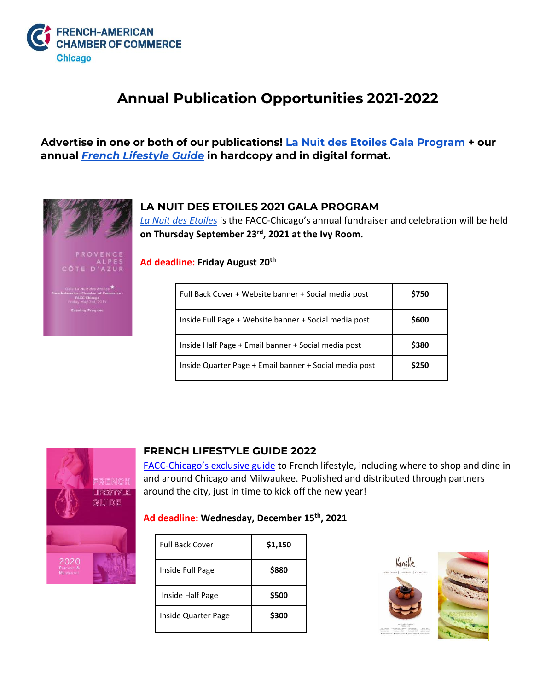

## **Annual Publication Opportunities 2021-2022**

**Advertise in one or both of our publications! [La Nuit des Etoiles Gala Program](https://www.facc-chicago.com/publications/annual-gala-program.html) + our annual** *[French Lifestyle Guide](https://www.facc-chicago.com/publications/french-lifestyle-guide.html)* **in hardcopy and in digital format.** 



**LA NUIT DES ETOILES 2021 GALA PROGRAM**

*[La Nuit des Etoiles](https://www.facc-chicago.com/events/gala-la-nuit-des-etoiles-2020.html)* is the FACC-Chicago's annual fundraiser and celebration will be held **on Thursday September 23rd, 2021 at the Ivy Room.** 

**Ad deadline: Friday August 20th**

| Full Back Cover + Website banner + Social media post   | \$750 |
|--------------------------------------------------------|-------|
| Inside Full Page + Website banner + Social media post  | \$600 |
| Inside Half Page + Email banner + Social media post    | \$380 |
| Inside Quarter Page + Email banner + Social media post | \$250 |



## **FRENCH LIFESTYLE GUIDE 2022**

FACC-[Chicago's exclusive guide](https://issuu.com/faccchicago/docs/flg2020_final) to French lifestyle, including where to shop and dine in and around Chicago and Milwaukee. Published and distributed through partners around the city, just in time to kick off the new year!

## **Ad deadline: Wednesday, December 15th, 2021**

| <b>Full Back Cover</b> | \$1,150 |
|------------------------|---------|
| Inside Full Page       | \$880   |
| Inside Half Page       | \$500   |
| Inside Quarter Page    | \$300   |